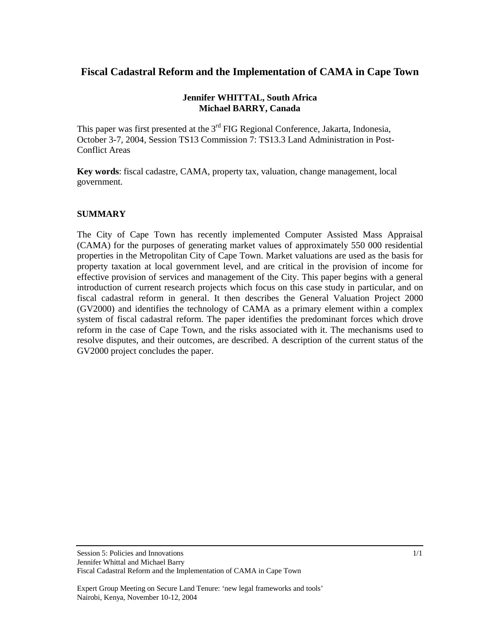# **Fiscal Cadastral Reform and the Implementation of CAMA in Cape Town**

### **Jennifer WHITTAL, South Africa Michael BARRY, Canada**

This paper was first presented at the 3<sup>rd</sup> FIG Regional Conference, Jakarta, Indonesia, October 3-7, 2004, Session TS13 Commission 7: TS13.3 Land Administration in Post-Conflict Areas

**Key words**: fiscal cadastre, CAMA, property tax, valuation, change management, local government.

### **SUMMARY**

The City of Cape Town has recently implemented Computer Assisted Mass Appraisal (CAMA) for the purposes of generating market values of approximately 550 000 residential properties in the Metropolitan City of Cape Town. Market valuations are used as the basis for property taxation at local government level, and are critical in the provision of income for effective provision of services and management of the City. This paper begins with a general introduction of current research projects which focus on this case study in particular, and on fiscal cadastral reform in general. It then describes the General Valuation Project 2000 (GV2000) and identifies the technology of CAMA as a primary element within a complex system of fiscal cadastral reform. The paper identifies the predominant forces which drove reform in the case of Cape Town, and the risks associated with it. The mechanisms used to resolve disputes, and their outcomes, are described. A description of the current status of the GV2000 project concludes the paper.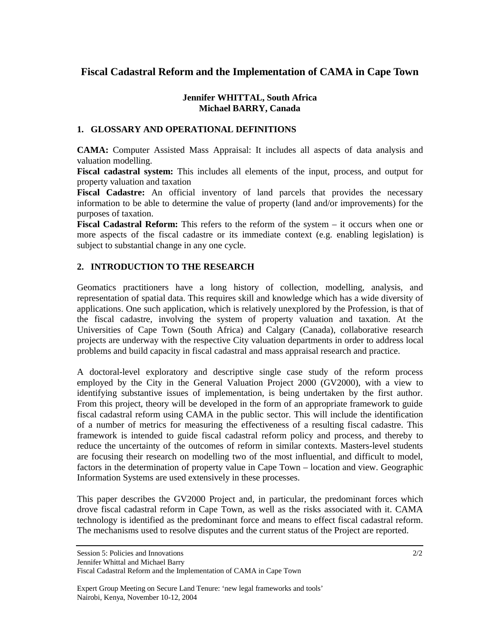# **Fiscal Cadastral Reform and the Implementation of CAMA in Cape Town**

### **Jennifer WHITTAL, South Africa Michael BARRY, Canada**

### **1. GLOSSARY AND OPERATIONAL DEFINITIONS**

**CAMA:** Computer Assisted Mass Appraisal: It includes all aspects of data analysis and valuation modelling.

**Fiscal cadastral system:** This includes all elements of the input, process, and output for property valuation and taxation

**Fiscal Cadastre:** An official inventory of land parcels that provides the necessary information to be able to determine the value of property (land and/or improvements) for the purposes of taxation.

**Fiscal Cadastral Reform:** This refers to the reform of the system – it occurs when one or more aspects of the fiscal cadastre or its immediate context (e.g. enabling legislation) is subject to substantial change in any one cycle.

### **2. INTRODUCTION TO THE RESEARCH**

Geomatics practitioners have a long history of collection, modelling, analysis, and representation of spatial data. This requires skill and knowledge which has a wide diversity of applications. One such application, which is relatively unexplored by the Profession, is that of the fiscal cadastre, involving the system of property valuation and taxation. At the Universities of Cape Town (South Africa) and Calgary (Canada), collaborative research projects are underway with the respective City valuation departments in order to address local problems and build capacity in fiscal cadastral and mass appraisal research and practice.

A doctoral-level exploratory and descriptive single case study of the reform process employed by the City in the General Valuation Project 2000 (GV2000), with a view to identifying substantive issues of implementation, is being undertaken by the first author. From this project, theory will be developed in the form of an appropriate framework to guide fiscal cadastral reform using CAMA in the public sector. This will include the identification of a number of metrics for measuring the effectiveness of a resulting fiscal cadastre. This framework is intended to guide fiscal cadastral reform policy and process, and thereby to reduce the uncertainty of the outcomes of reform in similar contexts. Masters-level students are focusing their research on modelling two of the most influential, and difficult to model, factors in the determination of property value in Cape Town – location and view. Geographic Information Systems are used extensively in these processes.

This paper describes the GV2000 Project and, in particular, the predominant forces which drove fiscal cadastral reform in Cape Town, as well as the risks associated with it. CAMA technology is identified as the predominant force and means to effect fiscal cadastral reform. The mechanisms used to resolve disputes and the current status of the Project are reported.

Session 5: Policies and Innovations

Jennifer Whittal and Michael Barry

Fiscal Cadastral Reform and the Implementation of CAMA in Cape Town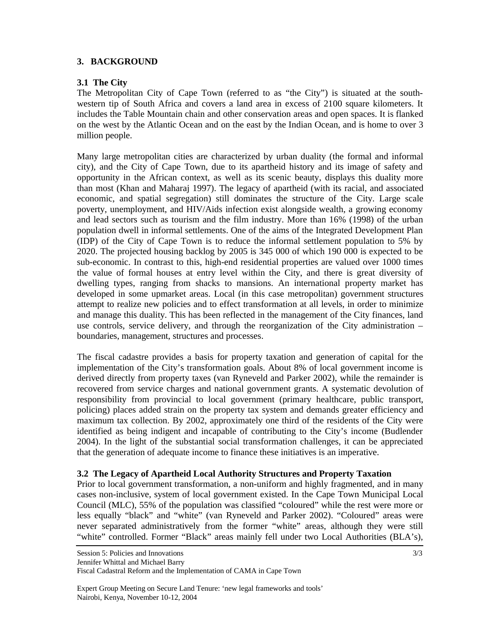### **3. BACKGROUND**

#### **3.1 The City**

The Metropolitan City of Cape Town (referred to as "the City") is situated at the southwestern tip of South Africa and covers a land area in excess of 2100 square kilometers. It includes the Table Mountain chain and other conservation areas and open spaces. It is flanked on the west by the Atlantic Ocean and on the east by the Indian Ocean, and is home to over 3 million people.

Many large metropolitan cities are characterized by urban duality (the formal and informal city), and the City of Cape Town, due to its apartheid history and its image of safety and opportunity in the African context, as well as its scenic beauty, displays this duality more than most (Khan and Maharaj 1997). The legacy of apartheid (with its racial, and associated economic, and spatial segregation) still dominates the structure of the City. Large scale poverty, unemployment, and HIV/Aids infection exist alongside wealth, a growing economy and lead sectors such as tourism and the film industry. More than 16% (1998) of the urban population dwell in informal settlements. One of the aims of the Integrated Development Plan (IDP) of the City of Cape Town is to reduce the informal settlement population to 5% by 2020. The projected housing backlog by 2005 is 345 000 of which 190 000 is expected to be sub-economic. In contrast to this, high-end residential properties are valued over 1000 times the value of formal houses at entry level within the City, and there is great diversity of dwelling types, ranging from shacks to mansions. An international property market has developed in some upmarket areas. Local (in this case metropolitan) government structures attempt to realize new policies and to effect transformation at all levels, in order to minimize and manage this duality. This has been reflected in the management of the City finances, land use controls, service delivery, and through the reorganization of the City administration – boundaries, management, structures and processes.

The fiscal cadastre provides a basis for property taxation and generation of capital for the implementation of the City's transformation goals. About 8% of local government income is derived directly from property taxes (van Ryneveld and Parker 2002), while the remainder is recovered from service charges and national government grants. A systematic devolution of responsibility from provincial to local government (primary healthcare, public transport, policing) places added strain on the property tax system and demands greater efficiency and maximum tax collection. By 2002, approximately one third of the residents of the City were identified as being indigent and incapable of contributing to the City's income (Budlender 2004). In the light of the substantial social transformation challenges, it can be appreciated that the generation of adequate income to finance these initiatives is an imperative.

#### **3.2 The Legacy of Apartheid Local Authority Structures and Property Taxation**

Prior to local government transformation, a non-uniform and highly fragmented, and in many cases non-inclusive, system of local government existed. In the Cape Town Municipal Local Council (MLC), 55% of the population was classified "coloured" while the rest were more or less equally "black" and "white" (van Ryneveld and Parker 2002). "Coloured" areas were never separated administratively from the former "white" areas, although they were still "white" controlled. Former "Black" areas mainly fell under two Local Authorities (BLA's),

Session 5: Policies and Innovations

Jennifer Whittal and Michael Barry

Fiscal Cadastral Reform and the Implementation of CAMA in Cape Town

Expert Group Meeting on Secure Land Tenure: 'new legal frameworks and tools' Nairobi, Kenya, November 10-12, 2004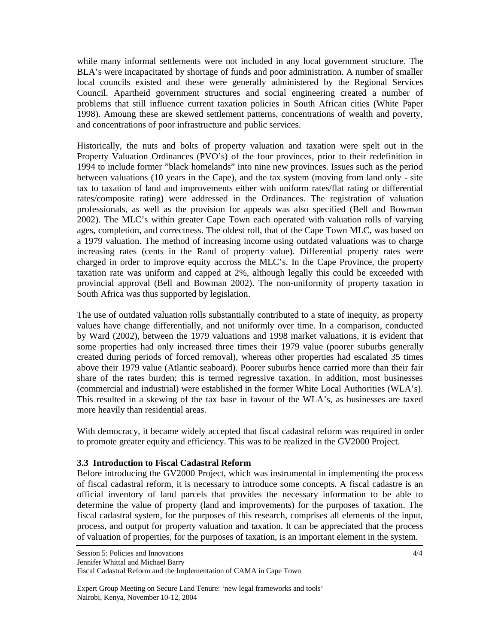while many informal settlements were not included in any local government structure. The BLA's were incapacitated by shortage of funds and poor administration. A number of smaller local councils existed and these were generally administered by the Regional Services Council. Apartheid government structures and social engineering created a number of problems that still influence current taxation policies in South African cities (White Paper 1998). Amoung these are skewed settlement patterns, concentrations of wealth and poverty, and concentrations of poor infrastructure and public services.

Historically, the nuts and bolts of property valuation and taxation were spelt out in the Property Valuation Ordinances (PVO's) of the four provinces, prior to their redefinition in 1994 to include former "black homelands" into nine new provinces. Issues such as the period between valuations (10 years in the Cape), and the tax system (moving from land only - site tax to taxation of land and improvements either with uniform rates/flat rating or differential rates/composite rating) were addressed in the Ordinances. The registration of valuation professionals, as well as the provision for appeals was also specified (Bell and Bowman 2002). The MLC's within greater Cape Town each operated with valuation rolls of varying ages, completion, and correctness. The oldest roll, that of the Cape Town MLC, was based on a 1979 valuation. The method of increasing income using outdated valuations was to charge increasing rates (cents in the Rand of property value). Differential property rates were charged in order to improve equity accross the MLC's. In the Cape Province, the property taxation rate was uniform and capped at 2%, although legally this could be exceeded with provincial approval (Bell and Bowman 2002). The non-uniformity of property taxation in South Africa was thus supported by legislation.

The use of outdated valuation rolls substantially contributed to a state of inequity, as property values have change differentially, and not uniformly over time. In a comparison, conducted by Ward (2002), between the 1979 valuations and 1998 market valuations, it is evident that some properties had only increased three times their 1979 value (poorer suburbs generally created during periods of forced removal), whereas other properties had escalated 35 times above their 1979 value (Atlantic seaboard). Poorer suburbs hence carried more than their fair share of the rates burden; this is termed regressive taxation. In addition, most businesses (commercial and industrial) were established in the former White Local Authorities (WLA's). This resulted in a skewing of the tax base in favour of the WLA's, as businesses are taxed more heavily than residential areas.

With democracy, it became widely accepted that fiscal cadastral reform was required in order to promote greater equity and efficiency. This was to be realized in the GV2000 Project.

#### **3.3 Introduction to Fiscal Cadastral Reform**

Before introducing the GV2000 Project, which was instrumental in implementing the process of fiscal cadastral reform, it is necessary to introduce some concepts. A fiscal cadastre is an official inventory of land parcels that provides the necessary information to be able to determine the value of property (land and improvements) for the purposes of taxation. The fiscal cadastral system, for the purposes of this research, comprises all elements of the input, process, and output for property valuation and taxation. It can be appreciated that the process of valuation of properties, for the purposes of taxation, is an important element in the system.

Session 5: Policies and Innovations

Jennifer Whittal and Michael Barry

Fiscal Cadastral Reform and the Implementation of CAMA in Cape Town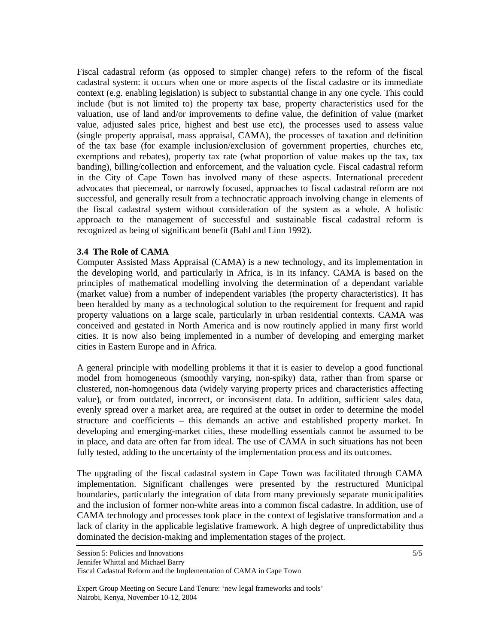Fiscal cadastral reform (as opposed to simpler change) refers to the reform of the fiscal cadastral system: it occurs when one or more aspects of the fiscal cadastre or its immediate context (e.g. enabling legislation) is subject to substantial change in any one cycle. This could include (but is not limited to) the property tax base, property characteristics used for the valuation, use of land and/or improvements to define value, the definition of value (market value, adjusted sales price, highest and best use etc), the processes used to assess value (single property appraisal, mass appraisal, CAMA), the processes of taxation and definition of the tax base (for example inclusion/exclusion of government properties, churches etc, exemptions and rebates), property tax rate (what proportion of value makes up the tax, tax banding), billing/collection and enforcement, and the valuation cycle. Fiscal cadastral reform in the City of Cape Town has involved many of these aspects. International precedent advocates that piecemeal, or narrowly focused, approaches to fiscal cadastral reform are not successful, and generally result from a technocratic approach involving change in elements of the fiscal cadastral system without consideration of the system as a whole. A holistic approach to the management of successful and sustainable fiscal cadastral reform is recognized as being of significant benefit (Bahl and Linn 1992).

#### **3.4 The Role of CAMA**

Computer Assisted Mass Appraisal (CAMA) is a new technology, and its implementation in the developing world, and particularly in Africa, is in its infancy. CAMA is based on the principles of mathematical modelling involving the determination of a dependant variable (market value) from a number of independent variables (the property characteristics). It has been heralded by many as a technological solution to the requirement for frequent and rapid property valuations on a large scale, particularly in urban residential contexts. CAMA was conceived and gestated in North America and is now routinely applied in many first world cities. It is now also being implemented in a number of developing and emerging market cities in Eastern Europe and in Africa.

A general principle with modelling problems it that it is easier to develop a good functional model from homogeneous (smoothly varying, non-spiky) data, rather than from sparse or clustered, non-homogenous data (widely varying property prices and characteristics affecting value), or from outdated, incorrect, or inconsistent data. In addition, sufficient sales data, evenly spread over a market area, are required at the outset in order to determine the model structure and coefficients – this demands an active and established property market. In developing and emerging-market cities, these modelling essentials cannot be assumed to be in place, and data are often far from ideal. The use of CAMA in such situations has not been fully tested, adding to the uncertainty of the implementation process and its outcomes.

The upgrading of the fiscal cadastral system in Cape Town was facilitated through CAMA implementation. Significant challenges were presented by the restructured Municipal boundaries, particularly the integration of data from many previously separate municipalities and the inclusion of former non-white areas into a common fiscal cadastre. In addition, use of CAMA technology and processes took place in the context of legislative transformation and a lack of clarity in the applicable legislative framework. A high degree of unpredictability thus dominated the decision-making and implementation stages of the project.

Jennifer Whittal and Michael Barry

Fiscal Cadastral Reform and the Implementation of CAMA in Cape Town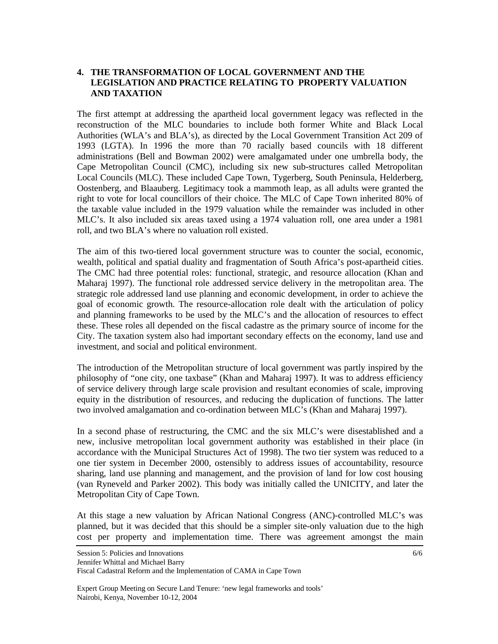### **4. THE TRANSFORMATION OF LOCAL GOVERNMENT AND THE LEGISLATION AND PRACTICE RELATING TO PROPERTY VALUATION AND TAXATION**

The first attempt at addressing the apartheid local government legacy was reflected in the reconstruction of the MLC boundaries to include both former White and Black Local Authorities (WLA's and BLA's), as directed by the Local Government Transition Act 209 of 1993 (LGTA). In 1996 the more than 70 racially based councils with 18 different administrations (Bell and Bowman 2002) were amalgamated under one umbrella body, the Cape Metropolitan Council (CMC), including six new sub-structures called Metropolitan Local Councils (MLC). These included Cape Town, Tygerberg, South Peninsula, Helderberg, Oostenberg, and Blaauberg. Legitimacy took a mammoth leap, as all adults were granted the right to vote for local councillors of their choice. The MLC of Cape Town inherited 80% of the taxable value included in the 1979 valuation while the remainder was included in other MLC's. It also included six areas taxed using a 1974 valuation roll, one area under a 1981 roll, and two BLA's where no valuation roll existed.

The aim of this two-tiered local government structure was to counter the social, economic, wealth, political and spatial duality and fragmentation of South Africa's post-apartheid cities. The CMC had three potential roles: functional, strategic, and resource allocation (Khan and Maharaj 1997). The functional role addressed service delivery in the metropolitan area. The strategic role addressed land use planning and economic development, in order to achieve the goal of economic growth. The resource-allocation role dealt with the articulation of policy and planning frameworks to be used by the MLC's and the allocation of resources to effect these. These roles all depended on the fiscal cadastre as the primary source of income for the City. The taxation system also had important secondary effects on the economy, land use and investment, and social and political environment.

The introduction of the Metropolitan structure of local government was partly inspired by the philosophy of "one city, one taxbase" (Khan and Maharaj 1997). It was to address efficiency of service delivery through large scale provision and resultant economies of scale, improving equity in the distribution of resources, and reducing the duplication of functions. The latter two involved amalgamation and co-ordination between MLC's (Khan and Maharaj 1997).

In a second phase of restructuring, the CMC and the six MLC's were disestablished and a new, inclusive metropolitan local government authority was established in their place (in accordance with the Municipal Structures Act of 1998). The two tier system was reduced to a one tier system in December 2000, ostensibly to address issues of accountability, resource sharing, land use planning and management, and the provision of land for low cost housing (van Ryneveld and Parker 2002). This body was initially called the UNICITY, and later the Metropolitan City of Cape Town.

At this stage a new valuation by African National Congress (ANC)-controlled MLC's was planned, but it was decided that this should be a simpler site-only valuation due to the high cost per property and implementation time. There was agreement amongst the main

Jennifer Whittal and Michael Barry

Fiscal Cadastral Reform and the Implementation of CAMA in Cape Town

Expert Group Meeting on Secure Land Tenure: 'new legal frameworks and tools' Nairobi, Kenya, November 10-12, 2004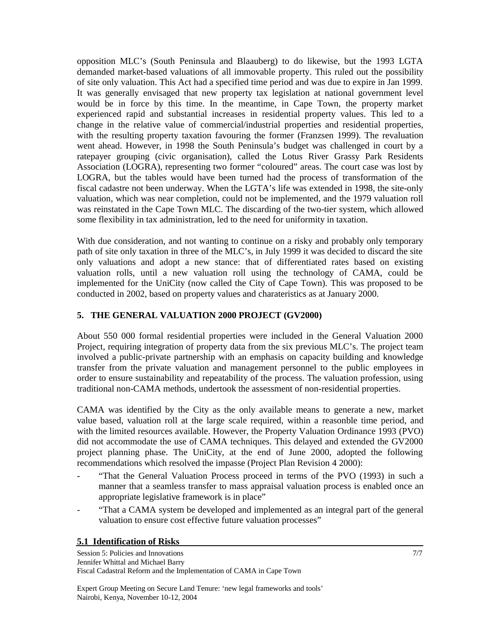opposition MLC's (South Peninsula and Blaauberg) to do likewise, but the 1993 LGTA demanded market-based valuations of all immovable property. This ruled out the possibility of site only valuation. This Act had a specified time period and was due to expire in Jan 1999. It was generally envisaged that new property tax legislation at national government level would be in force by this time. In the meantime, in Cape Town, the property market experienced rapid and substantial increases in residential property values. This led to a change in the relative value of commercial/industrial properties and residential properties, with the resulting property taxation favouring the former (Franzsen 1999). The revaluation went ahead. However, in 1998 the South Peninsula's budget was challenged in court by a ratepayer grouping (civic organisation), called the Lotus River Grassy Park Residents Association (LOGRA), representing two former "coloured" areas. The court case was lost by LOGRA, but the tables would have been turned had the process of transformation of the fiscal cadastre not been underway. When the LGTA's life was extended in 1998, the site-only valuation, which was near completion, could not be implemented, and the 1979 valuation roll was reinstated in the Cape Town MLC. The discarding of the two-tier system, which allowed some flexibility in tax administration, led to the need for uniformity in taxation.

With due consideration, and not wanting to continue on a risky and probably only temporary path of site only taxation in three of the MLC's, in July 1999 it was decided to discard the site only valuations and adopt a new stance: that of differentiated rates based on existing valuation rolls, until a new valuation roll using the technology of CAMA, could be implemented for the UniCity (now called the City of Cape Town). This was proposed to be conducted in 2002, based on property values and charateristics as at January 2000.

## **5. THE GENERAL VALUATION 2000 PROJECT (GV2000)**

About 550 000 formal residential properties were included in the General Valuation 2000 Project, requiring integration of property data from the six previous MLC's. The project team involved a public-private partnership with an emphasis on capacity building and knowledge transfer from the private valuation and management personnel to the public employees in order to ensure sustainability and repeatability of the process. The valuation profession, using traditional non-CAMA methods, undertook the assessment of non-residential properties.

CAMA was identified by the City as the only available means to generate a new, market value based, valuation roll at the large scale required, within a reasonble time period, and with the limited resources available. However, the Property Valuation Ordinance 1993 (PVO) did not accommodate the use of CAMA techniques. This delayed and extended the GV2000 project planning phase. The UniCity, at the end of June 2000, adopted the following recommendations which resolved the impasse (Project Plan Revision 4 2000):

- "That the General Valuation Process proceed in terms of the PVO (1993) in such a manner that a seamless transfer to mass appraisal valuation process is enabled once an appropriate legislative framework is in place"
- "That a CAMA system be developed and implemented as an integral part of the general valuation to ensure cost effective future valuation processes"

## **5.1 Identification of Risks**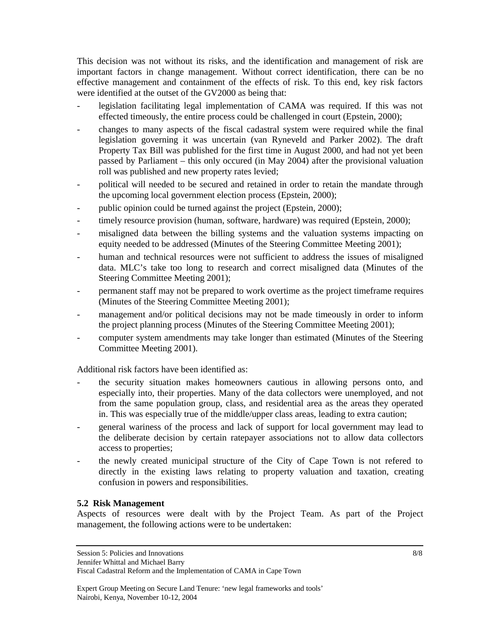This decision was not without its risks, and the identification and management of risk are important factors in change management. Without correct identification, there can be no effective management and containment of the effects of risk. To this end, key risk factors were identified at the outset of the GV2000 as being that:

- legislation facilitating legal implementation of CAMA was required. If this was not effected timeously, the entire process could be challenged in court (Epstein, 2000);
- changes to many aspects of the fiscal cadastral system were required while the final legislation governing it was uncertain (van Ryneveld and Parker 2002). The draft Property Tax Bill was published for the first time in August 2000, and had not yet been passed by Parliament – this only occured (in May 2004) after the provisional valuation roll was published and new property rates levied;
- political will needed to be secured and retained in order to retain the mandate through the upcoming local government election process (Epstein, 2000);
- public opinion could be turned against the project (Epstein, 2000);
- timely resource provision (human, software, hardware) was required (Epstein, 2000);
- misaligned data between the billing systems and the valuation systems impacting on equity needed to be addressed (Minutes of the Steering Committee Meeting 2001);
- human and technical resources were not sufficient to address the issues of misaligned data. MLC's take too long to research and correct misaligned data (Minutes of the Steering Committee Meeting 2001);
- permanent staff may not be prepared to work overtime as the project timeframe requires (Minutes of the Steering Committee Meeting 2001);
- management and/or political decisions may not be made timeously in order to inform the project planning process (Minutes of the Steering Committee Meeting 2001);
- computer system amendments may take longer than estimated (Minutes of the Steering Committee Meeting 2001).

Additional risk factors have been identified as:

- the security situation makes homeowners cautious in allowing persons onto, and especially into, their properties. Many of the data collectors were unemployed, and not from the same population group, class, and residential area as the areas they operated in. This was especially true of the middle/upper class areas, leading to extra caution;
- general wariness of the process and lack of support for local government may lead to the deliberate decision by certain ratepayer associations not to allow data collectors access to properties;
- the newly created municipal structure of the City of Cape Town is not refered to directly in the existing laws relating to property valuation and taxation, creating confusion in powers and responsibilities.

#### **5.2 Risk Management**

Aspects of resources were dealt with by the Project Team. As part of the Project management, the following actions were to be undertaken:

Session 5: Policies and Innovations

Jennifer Whittal and Michael Barry

Fiscal Cadastral Reform and the Implementation of CAMA in Cape Town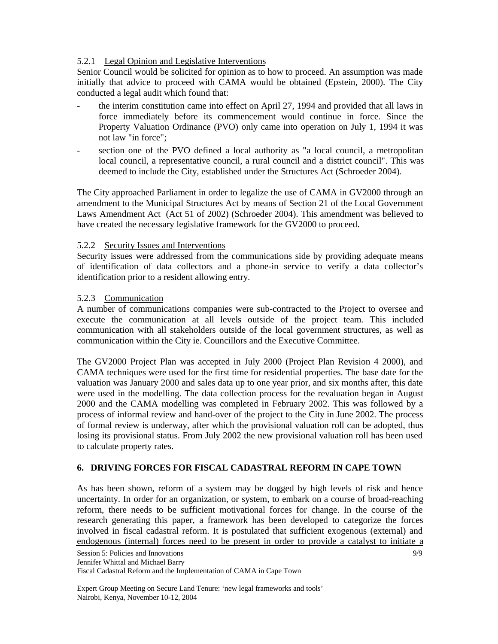## 5.2.1 Legal Opinion and Legislative Interventions

Senior Council would be solicited for opinion as to how to proceed. An assumption was made initially that advice to proceed with CAMA would be obtained (Epstein, 2000). The City conducted a legal audit which found that:

- the interim constitution came into effect on April 27, 1994 and provided that all laws in force immediately before its commencement would continue in force. Since the Property Valuation Ordinance (PVO) only came into operation on July 1, 1994 it was not law "in force";
- section one of the PVO defined a local authority as "a local council, a metropolitan local council, a representative council, a rural council and a district council". This was deemed to include the City, established under the Structures Act (Schroeder 2004).

The City approached Parliament in order to legalize the use of CAMA in GV2000 through an amendment to the Municipal Structures Act by means of Section 21 of the Local Government Laws Amendment Act (Act 51 of 2002) (Schroeder 2004). This amendment was believed to have created the necessary legislative framework for the GV2000 to proceed.

### 5.2.2 Security Issues and Interventions

Security issues were addressed from the communications side by providing adequate means of identification of data collectors and a phone-in service to verify a data collector's identification prior to a resident allowing entry.

### 5.2.3 Communication

A number of communications companies were sub-contracted to the Project to oversee and execute the communication at all levels outside of the project team. This included communication with all stakeholders outside of the local government structures, as well as communication within the City ie. Councillors and the Executive Committee.

The GV2000 Project Plan was accepted in July 2000 (Project Plan Revision 4 2000), and CAMA techniques were used for the first time for residential properties. The base date for the valuation was January 2000 and sales data up to one year prior, and six months after, this date were used in the modelling. The data collection process for the revaluation began in August 2000 and the CAMA modelling was completed in February 2002. This was followed by a process of informal review and hand-over of the project to the City in June 2002. The process of formal review is underway, after which the provisional valuation roll can be adopted, thus losing its provisional status. From July 2002 the new provisional valuation roll has been used to calculate property rates.

## **6. DRIVING FORCES FOR FISCAL CADASTRAL REFORM IN CAPE TOWN**

As has been shown, reform of a system may be dogged by high levels of risk and hence uncertainty. In order for an organization, or system, to embark on a course of broad-reaching reform, there needs to be sufficient motivational forces for change. In the course of the research generating this paper, a framework has been developed to categorize the forces involved in fiscal cadastral reform. It is postulated that sufficient exogenous (external) and endogenous (internal) forces need to be present in order to provide a catalyst to initiate a

9/9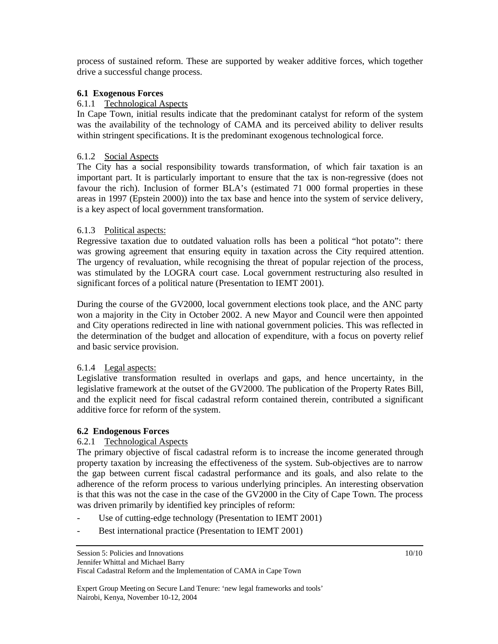process of sustained reform. These are supported by weaker additive forces, which together drive a successful change process.

#### **6.1 Exogenous Forces**

#### 6.1.1 Technological Aspects

In Cape Town, initial results indicate that the predominant catalyst for reform of the system was the availability of the technology of CAMA and its perceived ability to deliver results within stringent specifications. It is the predominant exogenous technological force.

### 6.1.2 Social Aspects

The City has a social responsibility towards transformation, of which fair taxation is an important part. It is particularly important to ensure that the tax is non-regressive (does not favour the rich). Inclusion of former BLA's (estimated 71 000 formal properties in these areas in 1997 (Epstein 2000)) into the tax base and hence into the system of service delivery, is a key aspect of local government transformation.

### 6.1.3 Political aspects:

Regressive taxation due to outdated valuation rolls has been a political "hot potato": there was growing agreement that ensuring equity in taxation across the City required attention. The urgency of revaluation, while recognising the threat of popular rejection of the process, was stimulated by the LOGRA court case. Local government restructuring also resulted in significant forces of a political nature (Presentation to IEMT 2001).

During the course of the GV2000, local government elections took place, and the ANC party won a majority in the City in October 2002. A new Mayor and Council were then appointed and City operations redirected in line with national government policies. This was reflected in the determination of the budget and allocation of expenditure, with a focus on poverty relief and basic service provision.

#### 6.1.4 Legal aspects:

Legislative transformation resulted in overlaps and gaps, and hence uncertainty, in the legislative framework at the outset of the GV2000. The publication of the Property Rates Bill, and the explicit need for fiscal cadastral reform contained therein, contributed a significant additive force for reform of the system.

#### **6.2 Endogenous Forces**

#### 6.2.1 Technological Aspects

The primary objective of fiscal cadastral reform is to increase the income generated through property taxation by increasing the effectiveness of the system. Sub-objectives are to narrow the gap between current fiscal cadastral performance and its goals, and also relate to the adherence of the reform process to various underlying principles. An interesting observation is that this was not the case in the case of the GV2000 in the City of Cape Town. The process was driven primarily by identified key principles of reform:

- Use of cutting-edge technology (Presentation to IEMT 2001)
- Best international practice (Presentation to IEMT 2001)

Session 5: Policies and Innovations

Jennifer Whittal and Michael Barry

Fiscal Cadastral Reform and the Implementation of CAMA in Cape Town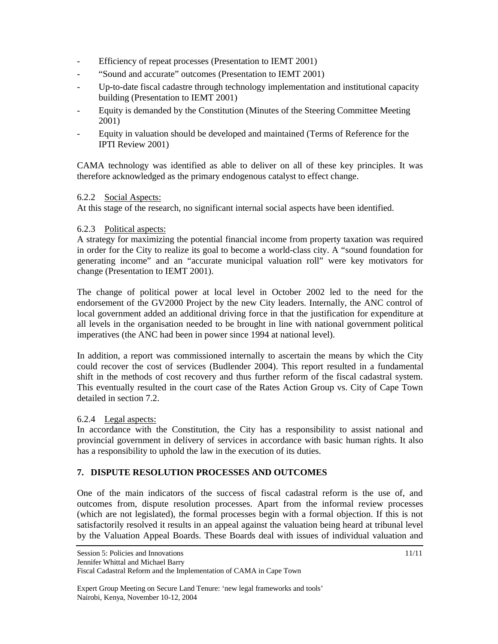- Efficiency of repeat processes (Presentation to IEMT 2001)
- "Sound and accurate" outcomes (Presentation to IEMT 2001)
- Up-to-date fiscal cadastre through technology implementation and institutional capacity building (Presentation to IEMT 2001)
- Equity is demanded by the Constitution (Minutes of the Steering Committee Meeting 2001)
- Equity in valuation should be developed and maintained (Terms of Reference for the IPTI Review 2001)

CAMA technology was identified as able to deliver on all of these key principles. It was therefore acknowledged as the primary endogenous catalyst to effect change.

### 6.2.2 Social Aspects:

At this stage of the research, no significant internal social aspects have been identified.

### 6.2.3 Political aspects:

A strategy for maximizing the potential financial income from property taxation was required in order for the City to realize its goal to become a world-class city. A "sound foundation for generating income" and an "accurate municipal valuation roll" were key motivators for change (Presentation to IEMT 2001).

The change of political power at local level in October 2002 led to the need for the endorsement of the GV2000 Project by the new City leaders. Internally, the ANC control of local government added an additional driving force in that the justification for expenditure at all levels in the organisation needed to be brought in line with national government political imperatives (the ANC had been in power since 1994 at national level).

In addition, a report was commissioned internally to ascertain the means by which the City could recover the cost of services (Budlender 2004). This report resulted in a fundamental shift in the methods of cost recovery and thus further reform of the fiscal cadastral system. This eventually resulted in the court case of the Rates Action Group vs. City of Cape Town detailed in section 7.2.

## 6.2.4 Legal aspects:

In accordance with the Constitution, the City has a responsibility to assist national and provincial government in delivery of services in accordance with basic human rights. It also has a responsibility to uphold the law in the execution of its duties.

## **7. DISPUTE RESOLUTION PROCESSES AND OUTCOMES**

One of the main indicators of the success of fiscal cadastral reform is the use of, and outcomes from, dispute resolution processes. Apart from the informal review processes (which are not legislated), the formal processes begin with a formal objection. If this is not satisfactorily resolved it results in an appeal against the valuation being heard at tribunal level by the Valuation Appeal Boards. These Boards deal with issues of individual valuation and

Jennifer Whittal and Michael Barry

Fiscal Cadastral Reform and the Implementation of CAMA in Cape Town

Expert Group Meeting on Secure Land Tenure: 'new legal frameworks and tools' Nairobi, Kenya, November 10-12, 2004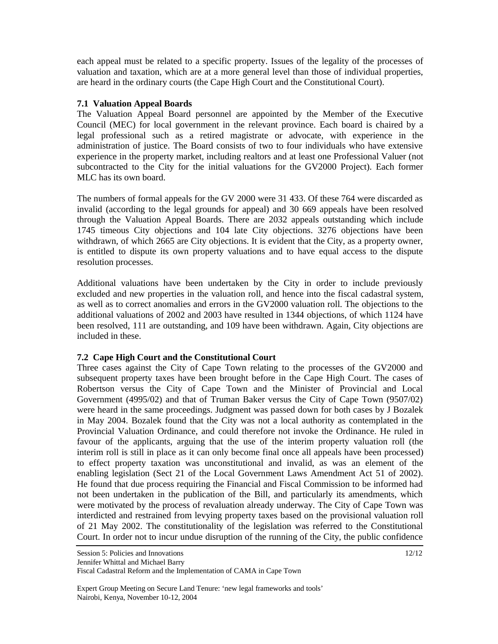each appeal must be related to a specific property. Issues of the legality of the processes of valuation and taxation, which are at a more general level than those of individual properties, are heard in the ordinary courts (the Cape High Court and the Constitutional Court).

#### **7.1 Valuation Appeal Boards**

The Valuation Appeal Board personnel are appointed by the Member of the Executive Council (MEC) for local government in the relevant province. Each board is chaired by a legal professional such as a retired magistrate or advocate, with experience in the administration of justice. The Board consists of two to four individuals who have extensive experience in the property market, including realtors and at least one Professional Valuer (not subcontracted to the City for the initial valuations for the GV2000 Project). Each former MLC has its own board.

The numbers of formal appeals for the GV 2000 were 31 433. Of these 764 were discarded as invalid (according to the legal grounds for appeal) and 30 669 appeals have been resolved through the Valuation Appeal Boards. There are 2032 appeals outstanding which include 1745 timeous City objections and 104 late City objections. 3276 objections have been withdrawn, of which 2665 are City objections. It is evident that the City, as a property owner, is entitled to dispute its own property valuations and to have equal access to the dispute resolution processes.

Additional valuations have been undertaken by the City in order to include previously excluded and new properties in the valuation roll, and hence into the fiscal cadastral system, as well as to correct anomalies and errors in the GV2000 valuation roll. The objections to the additional valuations of 2002 and 2003 have resulted in 1344 objections, of which 1124 have been resolved, 111 are outstanding, and 109 have been withdrawn. Again, City objections are included in these.

## **7.2 Cape High Court and the Constitutional Court**

Three cases against the City of Cape Town relating to the processes of the GV2000 and subsequent property taxes have been brought before in the Cape High Court. The cases of Robertson versus the City of Cape Town and the Minister of Provincial and Local Government (4995/02) and that of Truman Baker versus the City of Cape Town (9507/02) were heard in the same proceedings. Judgment was passed down for both cases by J Bozalek in May 2004. Bozalek found that the City was not a local authority as contemplated in the Provincial Valuation Ordinance, and could therefore not invoke the Ordinance. He ruled in favour of the applicants, arguing that the use of the interim property valuation roll (the interim roll is still in place as it can only become final once all appeals have been processed) to effect property taxation was unconstitutional and invalid, as was an element of the enabling legislation (Sect 21 of the Local Government Laws Amendment Act 51 of 2002). He found that due process requiring the Financial and Fiscal Commission to be informed had not been undertaken in the publication of the Bill, and particularly its amendments, which were motivated by the process of revaluation already underway. The City of Cape Town was interdicted and restrained from levying property taxes based on the provisional valuation roll of 21 May 2002. The constitutionality of the legislation was referred to the Constitutional Court. In order not to incur undue disruption of the running of the City, the public confidence

Session 5: Policies and Innovations

Jennifer Whittal and Michael Barry

Fiscal Cadastral Reform and the Implementation of CAMA in Cape Town

Expert Group Meeting on Secure Land Tenure: 'new legal frameworks and tools' Nairobi, Kenya, November 10-12, 2004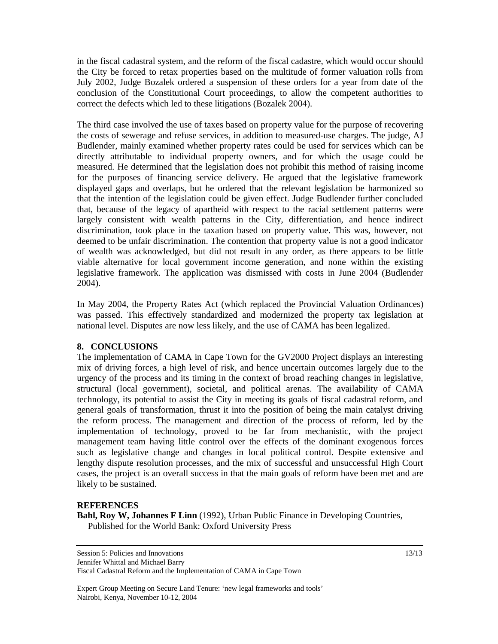in the fiscal cadastral system, and the reform of the fiscal cadastre, which would occur should the City be forced to retax properties based on the multitude of former valuation rolls from July 2002, Judge Bozalek ordered a suspension of these orders for a year from date of the conclusion of the Constitutional Court proceedings, to allow the competent authorities to correct the defects which led to these litigations (Bozalek 2004).

The third case involved the use of taxes based on property value for the purpose of recovering the costs of sewerage and refuse services, in addition to measured-use charges. The judge, AJ Budlender, mainly examined whether property rates could be used for services which can be directly attributable to individual property owners, and for which the usage could be measured. He determined that the legislation does not prohibit this method of raising income for the purposes of financing service delivery. He argued that the legislative framework displayed gaps and overlaps, but he ordered that the relevant legislation be harmonized so that the intention of the legislation could be given effect. Judge Budlender further concluded that, because of the legacy of apartheid with respect to the racial settlement patterns were largely consistent with wealth patterns in the City, differentiation, and hence indirect discrimination, took place in the taxation based on property value. This was, however, not deemed to be unfair discrimination. The contention that property value is not a good indicator of wealth was acknowledged, but did not result in any order, as there appears to be little viable alternative for local government income generation, and none within the existing legislative framework. The application was dismissed with costs in June 2004 (Budlender 2004).

In May 2004, the Property Rates Act (which replaced the Provincial Valuation Ordinances) was passed. This effectively standardized and modernized the property tax legislation at national level. Disputes are now less likely, and the use of CAMA has been legalized.

#### **8. CONCLUSIONS**

The implementation of CAMA in Cape Town for the GV2000 Project displays an interesting mix of driving forces, a high level of risk, and hence uncertain outcomes largely due to the urgency of the process and its timing in the context of broad reaching changes in legislative, structural (local government), societal, and political arenas. The availability of CAMA technology, its potential to assist the City in meeting its goals of fiscal cadastral reform, and general goals of transformation, thrust it into the position of being the main catalyst driving the reform process. The management and direction of the process of reform, led by the implementation of technology, proved to be far from mechanistic, with the project management team having little control over the effects of the dominant exogenous forces such as legislative change and changes in local political control. Despite extensive and lengthy dispute resolution processes, and the mix of successful and unsuccessful High Court cases, the project is an overall success in that the main goals of reform have been met and are likely to be sustained.

#### **REFERENCES**

**Bahl, Roy W, Johannes F Linn** (1992), Urban Public Finance in Developing Countries, Published for the World Bank: Oxford University Press

Expert Group Meeting on Secure Land Tenure: 'new legal frameworks and tools' Nairobi, Kenya, November 10-12, 2004

Session 5: Policies and Innovations

Jennifer Whittal and Michael Barry

Fiscal Cadastral Reform and the Implementation of CAMA in Cape Town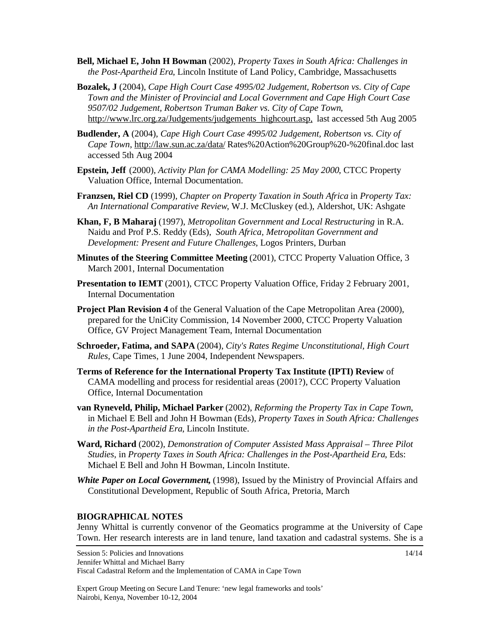- **Bell, Michael E, John H Bowman** (2002), *Property Taxes in South Africa: Challenges in the Post-Apartheid Era*, Lincoln Institute of Land Policy, Cambridge, Massachusetts
- **Bozalek, J** (2004), *Cape High Court Case 4995/02 Judgement, Robertson vs. City of Cape Town and the Minister of Provincial and Local Government and Cape High Court Case 9507/02 Judgement, Robertson Truman Baker vs. City of Cape Town*, [http://www.lrc.org.za/Judgements/judgements\\_highcourt.asp,](http://www.lrc.org.za/Judgements/judgements_highcourt.asp,) last accessed 5th Aug 2005
- **Budlender, A** (2004), *Cape High Court Case 4995/02 Judgement, Robertson vs. City of Cape Town*,<http://law.sun.ac.za/data/>Rates%20Action%20Group%20-%20final.doc last accessed 5th Aug 2004
- **Epstein, Jeff** (2000), *Activity Plan for CAMA Modelling: 25 May 2000*, CTCC Property Valuation Office, Internal Documentation.
- **Franzsen, Riel CD** (1999), *Chapter on Property Taxation in South Africa* in *Property Tax: An International Comparative Review*, W.J. McCluskey (ed.), Aldershot, UK: Ashgate
- **Khan, F, B Maharaj** (1997), *Metropolitan Government and Local Restructuring* in R.A. Naidu and Prof P.S. Reddy (Eds), *South Africa, Metropolitan Government and Development: Present and Future Challenges*, Logos Printers, Durban
- **Minutes of the Steering Committee Meeting** (2001), CTCC Property Valuation Office, 3 March 2001, Internal Documentation
- **Presentation to IEMT** (2001), CTCC Property Valuation Office, Friday 2 February 2001, Internal Documentation
- **Project Plan Revision 4** of the General Valuation of the Cape Metropolitan Area (2000), prepared for the UniCity Commission, 14 November 2000, CTCC Property Valuation Office, GV Project Management Team, Internal Documentation
- **Schroeder, Fatima, and SAPA** (2004), *City's Rates Regime Unconstitutional, High Court Rules*, Cape Times, 1 June 2004, Independent Newspapers.
- **Terms of Reference for the International Property Tax Institute (IPTI) Review** of CAMA modelling and process for residential areas (2001?), CCC Property Valuation Office, Internal Documentation
- **van Ryneveld, Philip, Michael Parker** (2002), *Reforming the Property Tax in Cape Town*, in Michael E Bell and John H Bowman (Eds), *Property Taxes in South Africa: Challenges in the Post-Apartheid Era*, Lincoln Institute.
- **Ward, Richard** (2002), *Demonstration of Computer Assisted Mass Appraisal Three Pilot Studies*, in *Property Taxes in South Africa: Challenges in the Post-Apartheid Era*, Eds: Michael E Bell and John H Bowman, Lincoln Institute.
- **White Paper on Local Government,** (1998), Issued by the Ministry of Provincial Affairs and Constitutional Development, Republic of South Africa, Pretoria, March

#### **BIOGRAPHICAL NOTES**

Jenny Whittal is currently convenor of the Geomatics programme at the University of Cape Town. Her research interests are in land tenure, land taxation and cadastral systems. She is a

Jennifer Whittal and Michael Barry

Fiscal Cadastral Reform and the Implementation of CAMA in Cape Town

Expert Group Meeting on Secure Land Tenure: 'new legal frameworks and tools' Nairobi, Kenya, November 10-12, 2004